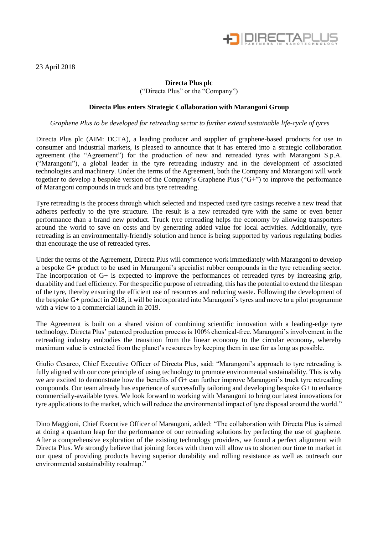

23 April 2018

# **Directa Plus plc** ("Directa Plus" or the "Company")

#### **Directa Plus enters Strategic Collaboration with Marangoni Group**

*Graphene Plus to be developed for retreading sector to further extend sustainable life-cycle of tyres*

Directa Plus plc (AIM: DCTA), a leading producer and supplier of graphene-based products for use in consumer and industrial markets, is pleased to announce that it has entered into a strategic collaboration agreement (the "Agreement") for the production of new and retreaded tyres with Marangoni S.p.A. ("Marangoni"), a global leader in the tyre retreading industry and in the development of associated technologies and machinery. Under the terms of the Agreement, both the Company and Marangoni will work together to develop a bespoke version of the Company's Graphene Plus ("G+") to improve the performance of Marangoni compounds in truck and bus tyre retreading.

Tyre retreading is the process through which selected and inspected used tyre casings receive a new tread that adheres perfectly to the tyre structure. The result is a new retreaded tyre with the same or even better performance than a brand new product. Truck tyre retreading helps the economy by allowing transporters around the world to save on costs and by generating added value for local activities. Additionally, tyre retreading is an environmentally-friendly solution and hence is being supported by various regulating bodies that encourage the use of retreaded tyres.

Under the terms of the Agreement, Directa Plus will commence work immediately with Marangoni to develop a bespoke G+ product to be used in Marangoni's specialist rubber compounds in the tyre retreading sector. The incorporation of G+ is expected to improve the performances of retreaded tyres by increasing grip, durability and fuel efficiency. For the specific purpose of retreading, this has the potential to extend the lifespan of the tyre, thereby ensuring the efficient use of resources and reducing waste. Following the development of the bespoke G+ product in 2018, it will be incorporated into Marangoni's tyres and move to a pilot programme with a view to a commercial launch in 2019.

The Agreement is built on a shared vision of combining scientific innovation with a leading-edge tyre technology. Directa Plus' patented production process is 100% chemical-free. Marangoni's involvement in the retreading industry embodies the transition from the linear economy to the circular economy, whereby maximum value is extracted from the planet's resources by keeping them in use for as long as possible.

Giulio Cesareo, Chief Executive Officer of Directa Plus, said: "Marangoni's approach to tyre retreading is fully aligned with our core principle of using technology to promote environmental sustainability. This is why we are excited to demonstrate how the benefits of G+ can further improve Marangoni's truck tyre retreading compounds. Our team already has experience of successfully tailoring and developing bespoke G+ to enhance commercially-available tyres. We look forward to working with Marangoni to bring our latest innovations for tyre applications to the market, which will reduce the environmental impact of tyre disposal around the world."

Dino Maggioni, Chief Executive Officer of Marangoni, added: "The collaboration with Directa Plus is aimed at doing a quantum leap for the performance of our retreading solutions by perfecting the use of graphene. After a comprehensive exploration of the existing technology providers, we found a perfect alignment with Directa Plus. We strongly believe that joining forces with them will allow us to shorten our time to market in our quest of providing products having superior durability and rolling resistance as well as outreach our environmental sustainability roadmap."